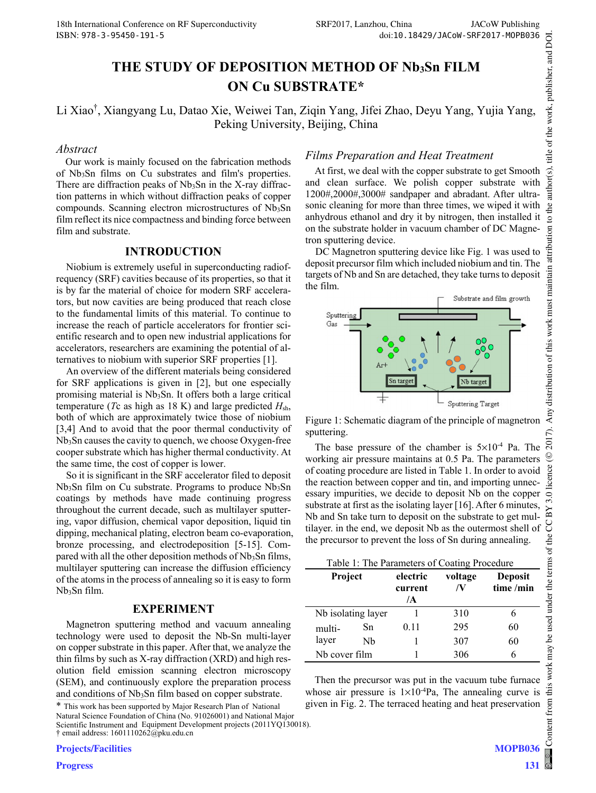# **THE STUDY OF DEPOSITION METHOD OF Nb3Sn FILM ON Cu SUBSTRATE\***

Li Xiao† , Xiangyang Lu, Datao Xie, Weiwei Tan, Ziqin Yang, Jifei Zhao, Deyu Yang, Yujia Yang, Peking University, Beijing, China

## *Abstract*

Our work is mainly focused on the fabrication methods of Nb3Sn films on Cu substrates and film's properties. There are diffraction peaks of  $Nb<sub>3</sub>Sn$  in the X-ray diffraction patterns in which without diffraction peaks of copper compounds. Scanning electron microstructures of  $Nb<sub>3</sub>Sn$ film reflect its nice compactness and binding force between film and substrate.

### **INTRODUCTION**

Niobium is extremely useful in superconducting radiofrequency (SRF) cavities because of its properties, so that it is by far the material of choice for modern SRF accelerators, but now cavities are being produced that reach close to the fundamental limits of this material. To continue to increase the reach of particle accelerators for frontier scientific research and to open new industrial applications for accelerators, researchers are examining the potential of alternatives to niobium with superior SRF properties [1].

An overview of the different materials being considered for SRF applications is given in [2], but one especially promising material is Nb3Sn. It offers both a large critical temperature (*T*c as high as 18 K) and large predicted  $H_{\text{sh}}$ , both of which are approximately twice those of niobium [3,4] And to avoid that the poor thermal conductivity of Nb3Sn causes the cavity to quench, we choose Oxygen-free cooper substrate which has higher thermal conductivity. At the same time, the cost of copper is lower.

So it is significant in the SRF accelerator filed to deposit  $Nb<sub>3</sub>Sn$  film on Cu substrate. Programs to produce  $Nb<sub>3</sub>Sn$ coatings by methods have made continuing progress throughout the current decade, such as multilayer sputtering, vapor diffusion, chemical vapor deposition, liquid tin dipping, mechanical plating, electron beam co-evaporation, bronze processing, and electrodeposition [5-15]. Compared with all the other deposition methods of  $Nb<sub>3</sub>Sn$  films, multilayer sputtering can increase the diffusion efficiency of the atoms in the process of annealing so it is easy to form  $Nb<sub>3</sub>Sn film.$ 

# **EXPERIMENT**

Magnetron sputtering method and vacuum annealing technology were used to deposit the Nb-Sn multi-layer on copper substrate in this paper. After that, we analyze the thin films by such as X-ray diffraction (XRD) and high resolution field emission scanning electron microscopy (SEM), and continuously explore the preparation process and conditions of Nb<sub>3</sub>Sn film based on copper substrate.

\* This work has been supported by Major Research Plan of National Natural Science Foundation of China (No. 91026001) and National Major Scientific Instrument and Equipment Development projects (2011YQ130018). † email address: 1601110262@pku.edu.cn

# *Films Preparation and Heat Treatment*

At first, we deal with the copper substrate to get Smooth and clean surface. We polish copper substrate with 1200#,2000#,3000# sandpaper and abradant. After ultrasonic cleaning for more than three times, we wiped it with anhydrous ethanol and dry it by nitrogen, then installed it on the substrate holder in vacuum chamber of DC Magnetron sputtering device.

DC Magnetron sputtering device like Fig. 1 was used to deposit precursor film which included niobium and tin. The targets of Nb and Sn are detached, they take turns to deposit the film.



Figure 1: Schematic diagram of the principle of magnetron sputtering.

The base pressure of the chamber is  $5\times10^{-4}$  Pa. The working air pressure maintains at 0.5 Pa. The parameters of coating procedure are listed in Table 1. In order to avoid the reaction between copper and tin, and importing unnecessary impurities, we decide to deposit Nb on the copper substrate at first as the isolating layer [16]. After 6 minutes, Nb and Sn take turn to deposit on the substrate to get multilayer. in the end, we deposit Nb as the outermost shell of the precursor to prevent the loss of Sn during annealing.

| Table 1: The Parameters of Coating Procedure |    |                           |         |                             |
|----------------------------------------------|----|---------------------------|---------|-----------------------------|
| Project                                      |    | electric<br>current<br>/A | voltage | <b>Deposit</b><br>time /min |
| Nb isolating layer                           |    |                           | 310     | 6                           |
| multi-                                       | Sn | 0.11                      | 295     | 60                          |
| layer                                        | Nh |                           | 307     | 60                          |
| Nb cover film                                |    |                           | 306     | 6                           |

Then the precursor was put in the vacuum tube furnace whose air pressure is  $1\times10^{-4}$ Pa, The annealing curve is given in Fig. 2. The terraced heating and heat preservation

**MOPB036**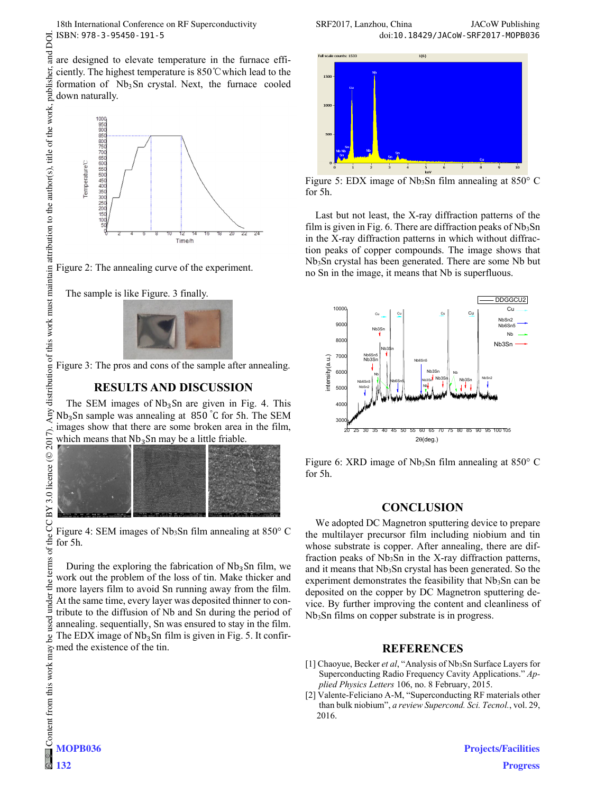are designed to elevate temperature in the furnace efficiently. The highest temperature is 850℃which lead to the formation of  $Nb<sub>3</sub>Sn$  crystal. Next, the furnace cooled down naturally.



Figure 2: The annealing curve of the experiment.

The sample is like Figure. 3 finally.



Figure 3: The pros and cons of the sample after annealing.

## **RESULTS AND DISCUSSION**

The SEM images of  $Nb<sub>3</sub>$ Sn are given in Fig. 4. This  $Nb<sub>3</sub>Sn$  sample was annealing at 850 $\degree$ C for 5h. The SEM images show that there are some broken area in the film, which means that  $Nb<sub>3</sub>Sn$  may be a little friable.



Figure 4: SEM images of  $Nb<sub>3</sub>Sn$  film annealing at 850 $\degree$  C for 5h.

During the exploring the fabrication of  $Nb<sub>3</sub>Sn$  film, we work out the problem of the loss of tin. Make thicker and more layers film to avoid Sn running away from the film. At the same time, every layer was deposited thinner to contribute to the diffusion of Nb and Sn during the period of annealing. sequentially, Sn was ensured to stay in the film. The EDX image of  $Nb<sub>3</sub>Sn$  film is given in Fig. 5. It confirmed the existence of the tin.



Figure 5: EDX image of  $Nb<sub>3</sub>Sn$  film annealing at 850 $^{\circ}$  C for 5h.

Last but not least, the X-ray diffraction patterns of the film is given in Fig. 6. There are diffraction peaks of  $Nb<sub>3</sub>Sn$ in the X-ray diffraction patterns in which without diffraction peaks of copper compounds. The image shows that Nb3Sn crystal has been generated. There are some Nb but no Sn in the image, it means that Nb is superfluous.



Figure 6: XRD image of  $Nb<sub>3</sub>Sn$  film annealing at 850 $^{\circ}$  C for 5h.

#### **CONCLUSION**

We adopted DC Magnetron sputtering device to prepare the multilayer precursor film including niobium and tin whose substrate is copper. After annealing, there are diffraction peaks of  $Nb<sub>3</sub>Sn$  in the X-ray diffraction patterns, and it means that Nb3Sn crystal has been generated. So the experiment demonstrates the feasibility that  $Nb<sub>3</sub>Sn$  can be deposited on the copper by DC Magnetron sputtering device. By further improving the content and cleanliness of Nb3Sn films on copper substrate is in progress.

#### **REFERENCES**

- [1] Chaoyue, Becker *et al*, "Analysis of Nb3Sn Surface Layers for Superconducting Radio Frequency Cavity Applications." *Applied Physics Letters* 106, no. 8 February, 2015.
- [2] Valente-Feliciano A-M, "Superconducting RF materials other than bulk niobium", *a review Supercond. Sci. Tecnol.*, vol. 29, 2016.

and DOI.